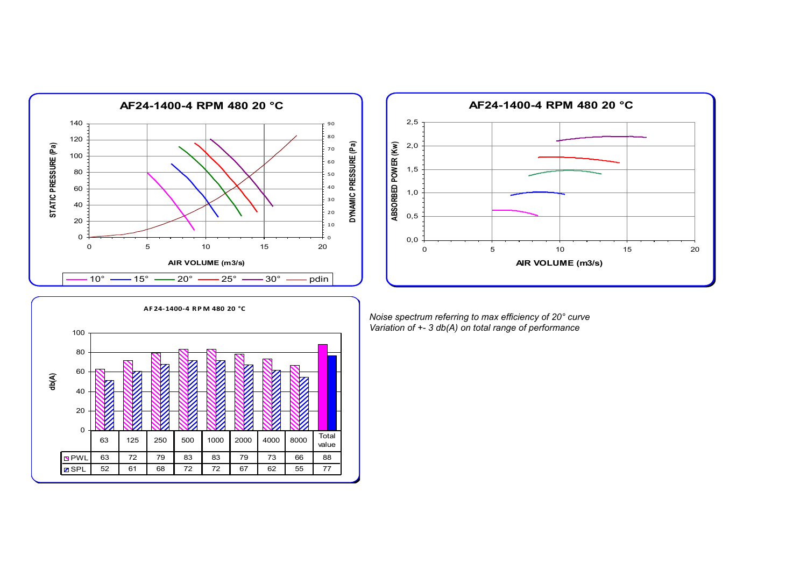



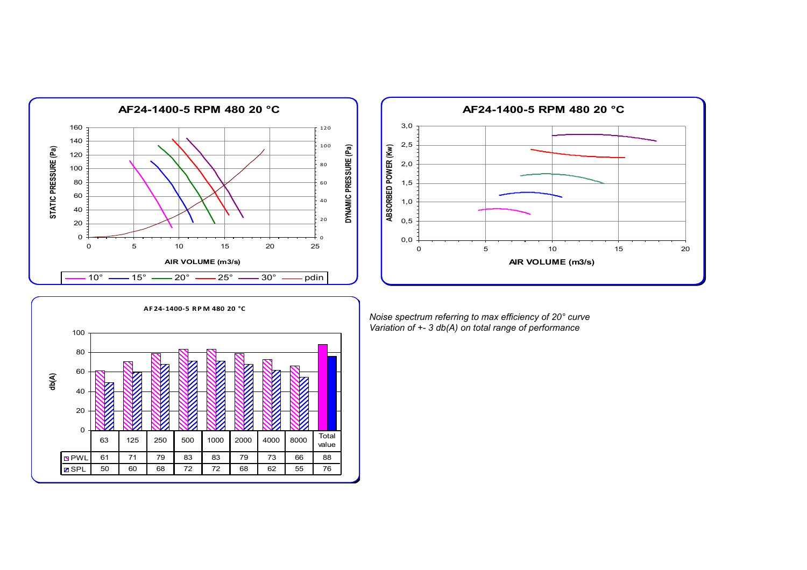



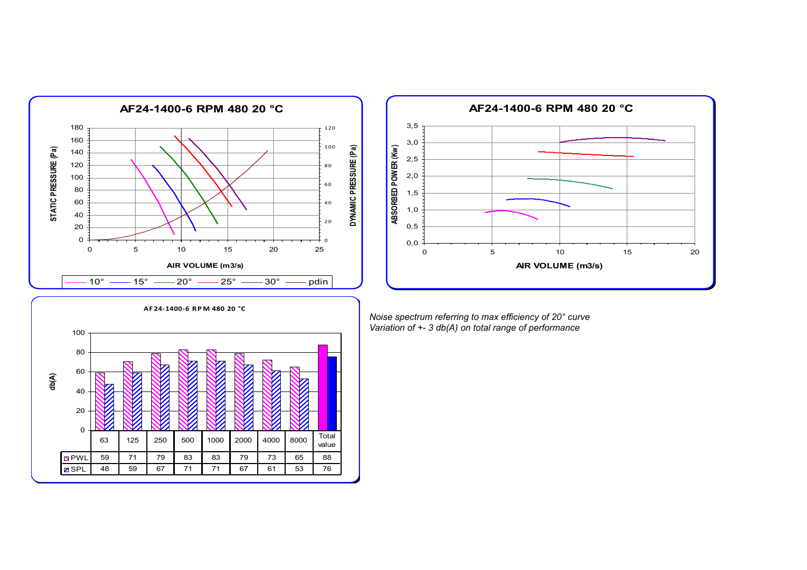



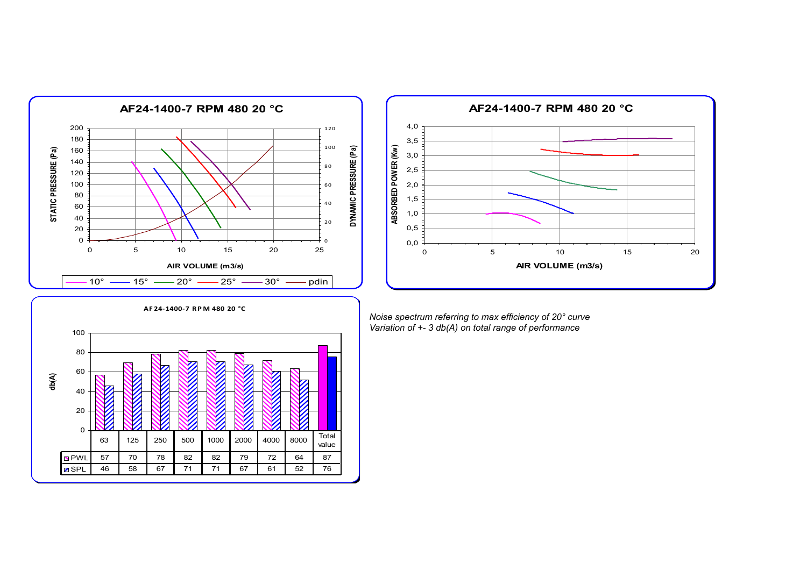